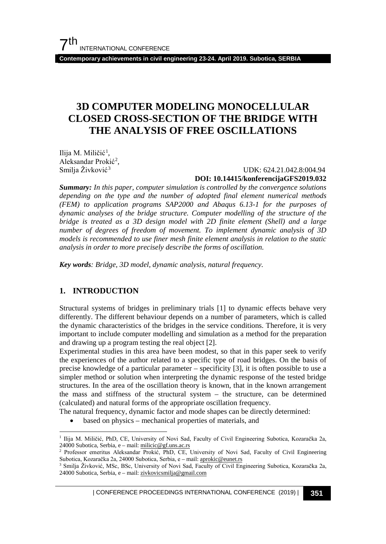**Contemporary achievements in civil engineering 23-24. April 2019. Subotica, SERBIA**

## **3D COMPUTER MODELING MONOCELLULAR CLOSED CROSS-SECTION OF THE BRIDGE WITH THE ANALYSIS OF FREE OSCILLATIONS**

Ilija M. Miličić<sup>[1](#page-0-0)</sup>, Aleksandar Prokić<sup>[2](#page-0-1)</sup>, Smilja Živković<sup>[3](#page-0-2)</sup>

#### UDK: 624.21.042.8:004.94 **DOI: 10.14415/konferencijaGFS2019.032**

*Summary: In this paper, computer simulation is controlled by the convergence solutions depending on the type and the number of adopted final element numerical methods (FEM) to application programs SAP2000 and Abaqus 6.13-1 for the purposes of dynamic analyses of the bridge structure. Computer modelling of the structure of the bridge is treated as a 3D design model with 2D finite element (Shell) and a large number of degrees of freedom of movement. To implement dynamic analysis of 3D models is recommended to use finer mesh finite element analysis in relation to the static analysis in order to more precisely describe the forms of oscillation.*

*Key words: Bridge, 3D model, dynamic analysis, natural frequency.*

#### **1. INTRODUCTION**

Structural systems of bridges in preliminary trials [1] to dynamic effects behave very differently. The different behaviour depends on a number of parameters, which is called the dynamic characteristics of the bridges in the service conditions. Therefore, it is very important to include computer modelling and simulation as a method for the preparation and drawing up a program testing the real object [2].

Experimental studies in this area have been modest, so that in this paper seek to verify the experiences of the author related to a specific type of road bridges. On the basis of precise knowledge of a particular parameter – specificity [3], it is often possible to use a simpler method or solution when interpreting the dynamic response of the tested bridge structures. In the area of the oscillation theory is known, that in the known arrangement the mass and stiffness of the structural system – the structure, can be determined (calculated) and natural forms of the appropriate oscillation frequency.

The natural frequency, dynamic factor and mode shapes can be directly determined:

based on physics – mechanical properties of materials, and

| CONFERENCE PROCEEDINGS INTERNATIONAL CONFERENCE (2019) <sup>|</sup>**351**

<span id="page-0-0"></span> <sup>1</sup> Ilija M. Miličić, PhD, CE, University of Novi Sad, Faculty of Civil Engineering Subotica, Kozaračka 2a, 24000 Subotica, Serbia, e – mail:  $milicic@gf.uns.ac.rs$ 

<span id="page-0-1"></span><sup>&</sup>lt;sup>2</sup> Professor emeritus Aleksandar Prokić, PhD, CE, University of Novi Sad, Faculty of Civil Engineering Subotica, Kozaračka 2a, 24000 Subotica, Serbia, e – mail[: aprokic@eunet.rs](mailto:aprokic@eunet.rs)

<span id="page-0-2"></span><sup>3</sup> Smilja Živković, MSc, BSc, University of Novi Sad, Faculty of Civil Engineering Subotica, Kozaračka 2a, 24000 Subotica, Serbia, e – mail: [zivkovicsmilja@gmail.com](mailto:zivkovicsmilja@gmail.com)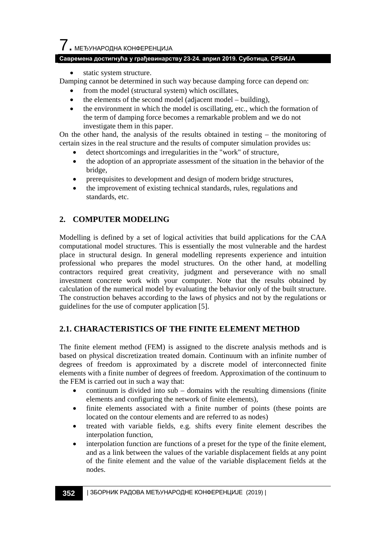## $\overline{\phantom{a}}$ . МЕЂУНАРОДНА КОНФЕРЕНЦИЈА

#### **Савремена достигнућа у грађевинарству 23-24. април 2019. Суботица, СРБИЈА**

static system structure.

Damping cannot be determined in such way because damping force can depend on:

- from the model (structural system) which oscillates,
- the elements of the second model (adjacent model building),
- the environment in which the model is oscillating, etc., which the formation of the term of damping force becomes a remarkable problem and we do not investigate them in this paper.

On the other hand, the analysis of the results obtained in testing – the monitoring of certain sizes in the real structure and the results of computer simulation provides us:

- detect shortcomings and irregularities in the "work" of structure,
- the adoption of an appropriate assessment of the situation in the behavior of the bridge,
- prerequisites to development and design of modern bridge structures,
- the improvement of existing technical standards, rules, regulations and standards, etc.

#### **2. COMPUTER MODELING**

Modelling is defined by a set of logical activities that build applications for the CAA computational model structures. This is essentially the most vulnerable and the hardest place in structural design. In general modelling represents experience and intuition professional who prepares the model structures. On the other hand, at modelling contractors required great creativity, judgment and perseverance with no small investment concrete work with your computer. Note that the results obtained by calculation of the numerical model by evaluating the behavior only of the built structure. The construction behaves according to the laws of physics and not by the regulations or guidelines for the use of computer application [5].

#### **2.1. CHARACTERISTICS OF THE FINITE ELEMENT METHOD**

The finite element method (FEM) is assigned to the discrete analysis methods and is based on physical discretization treated domain. Continuum with an infinite number of degrees of freedom is approximated by a discrete model of interconnected finite elements with a finite number of degrees of freedom. Approximation of the continuum to the FEM is carried out in such a way that:

- $\alpha$  continuum is divided into sub domains with the resulting dimensions (finite elements and configuring the network of finite elements),
- finite elements associated with a finite number of points (these points are located on the contour elements and are referred to as nodes)
- treated with variable fields, e.g. shifts every finite element describes the interpolation function,
- interpolation function are functions of a preset for the type of the finite element, and as a link between the values of the variable displacement fields at any point of the finite element and the value of the variable displacement fields at the nodes.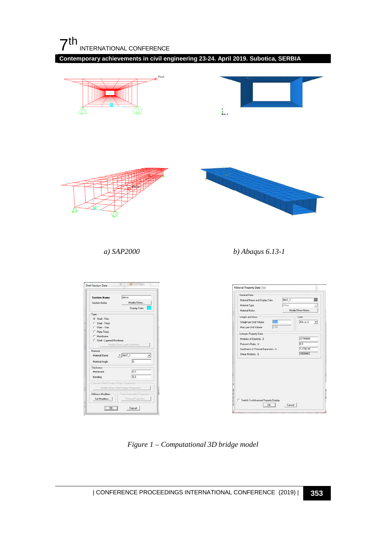

**Contemporary achievements in civil engineering 23-24. April 2019. Subotica, SERBIA**



*Figure 1 – Computational 3D bridge model*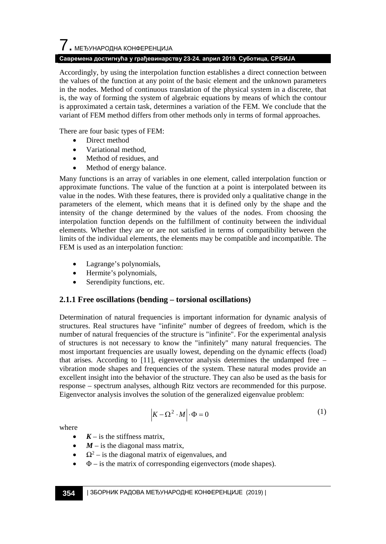# $\overline{\phantom{a}}$ . МЕЂУНАРОДНА КОНФЕРЕНЦИЈА

#### **Савремена достигнућа у грађевинарству 23-24. април 2019. Суботица, СРБИЈА**

Accordingly, by using the interpolation function establishes a direct connection between the values of the function at any point of the basic element and the unknown parameters in the nodes. Method of continuous translation of the physical system in a discrete, that is, the way of forming the system of algebraic equations by means of which the contour is approximated a certain task, determines a variation of the FEM. We conclude that the variant of FEM method differs from other methods only in terms of formal approaches.

There are four basic types of FEM:

- Direct method
- Variational method,
- Method of residues, and
- Method of energy balance.

Many functions is an array of variables in one element, called interpolation function or approximate functions. The value of the function at a point is interpolated between its value in the nodes. With these features, there is provided only a qualitative change in the parameters of the element, which means that it is defined only by the shape and the intensity of the change determined by the values of the nodes. From choosing the interpolation function depends on the fulfillment of continuity between the individual elements. Whether they are or are not satisfied in terms of compatibility between the limits of the individual elements, the elements may be compatible and incompatible. The FEM is used as an interpolation function:

- Lagrange's polynomials,
- Hermite's polynomials,
- Serendipity functions, etc.

#### **2.1.1 Free oscillations (bending – torsional oscillations)**

Determination of natural frequencies is important information for dynamic analysis of structures. Real structures have "infinite" number of degrees of freedom, which is the number of natural frequencies of the structure is "infinite". For the experimental analysis of structures is not necessary to know the "infinitely" many natural frequencies. The most important frequencies are usually lowest, depending on the dynamic effects (load) that arises. According to [11], eigenvector analysis determines the undamped free – vibration mode shapes and frequencies of the system. These natural modes provide an excellent insight into the behavior of the structure. They can also be used as the basis for response – spectrum analyses, although Ritz vectors are recommended for this purpose. Eigenvector analysis involves the solution of the generalized eigenvalue problem:

$$
\left|K - \Omega^2 \cdot M\right| \cdot \Phi = 0\tag{1}
$$

where

- $K -$  is the stiffness matrix.
- $M$  is the diagonal mass matrix,
- $\Omega^2$  is the diagonal matrix of eigenvalues, and
- $\Phi$  is the matrix of corresponding eigenvectors (mode shapes).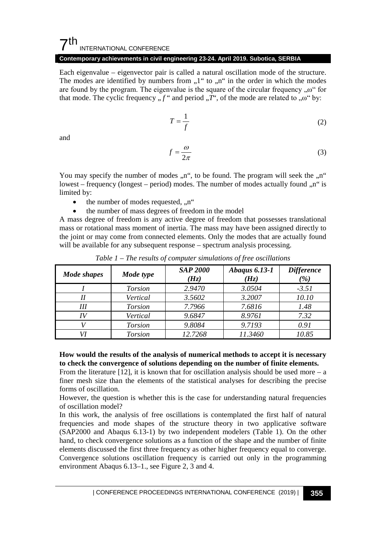#### $7<sup>th</sup>$ INTERNATIONAL CONFERENCE

#### **Contemporary achievements in civil engineering 23-24. April 2019. Subotica, SERBIA**

Each eigenvalue – eigenvector pair is called a natural oscillation mode of the structure. The modes are identified by numbers from  $,1$ " to  $, n$ " in the order in which the modes are found by the program. The eigenvalue is the square of the circular frequency  $, \omega$ " for that mode. The cyclic frequency  $\overline{f}$  and period  $\overline{f}$ , of the mode are related to  $\overline{f}$ ,  $\omega$  by:

$$
T = \frac{1}{f} \tag{2}
$$

and

$$
f = \frac{\omega}{2\pi} \tag{3}
$$

You may specify the number of modes  $n<sup>th</sup>$ , to be found. The program will seek the  $n<sup>th</sup>$ lowest – frequency (longest – period) modes. The number of modes actually found  $n<sup>th</sup>$  is limited by:

- the number of modes requested,  $\ldots$ <sup>"</sup>
- the number of mass degrees of freedom in the model

A mass degree of freedom is any active degree of freedom that possesses translational mass or rotational mass moment of inertia. The mass may have been assigned directly to the joint or may come from connected elements. Only the modes that are actually found will be available for any subsequent response – spectrum analysis processing.

| Mode shapes | Mode type      | <b>SAP 2000</b><br>(H <sub>Z</sub> ) | <b>Abaqus 6.13-1</b><br>(Hz) | <b>Difference</b><br>$\frac{9}{0}$ |
|-------------|----------------|--------------------------------------|------------------------------|------------------------------------|
|             | <b>Torsion</b> | 2.9470                               | 3.0504                       | $-3.51$                            |
|             | Vertical       | 3.5602                               | 3.2007                       | 10.10                              |
| Ш           | <b>Torsion</b> | 7.7966                               | 7.6816                       | 1.48                               |
| IV          | Vertical       | 9.6847                               | 8.9761                       | 7.32                               |
|             | <b>Torsion</b> | 9.8084                               | 9.7193                       | 0.91                               |
|             | <b>Torsion</b> | 12.7268                              | 11.3460                      | 10.85                              |

*Table 1 – The results of computer simulations of free oscillations*

#### **How would the results of the analysis of numerical methods to accept it is necessary to check the convergence of solutions depending on the number of finite elements.**

From the literature  $[12]$ , it is known that for oscillation analysis should be used more – a finer mesh size than the elements of the statistical analyses for describing the precise forms of oscillation.

However, the question is whether this is the case for understanding natural frequencies of oscillation model?

In this work, the analysis of free oscillations is contemplated the first half of natural frequencies and mode shapes of the structure theory in two applicative software (SAP2000 and Abaqus 6.13-1) by two independent modelers (Table 1). On the other hand, to check convergence solutions as a function of the shape and the number of finite elements discussed the first three frequency as other higher frequency equal to converge. Convergence solutions oscillation frequency is carried out only in the programming environment Abaqus 6.13–1., see Figure 2, 3 and 4.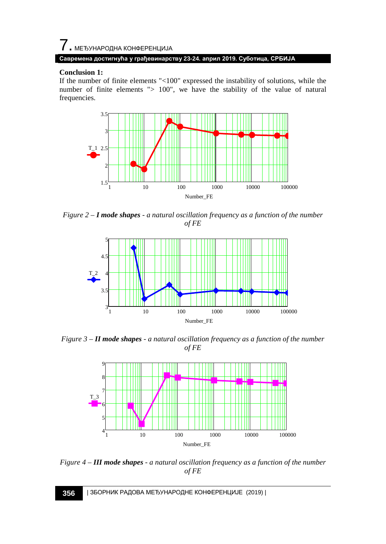#### **Conclusion 1:**

If the number of finite elements "<100" expressed the instability of solutions, while the number of finite elements "> 100", we have the stability of the value of natural frequencies.



*Figure 2 – I mode shapes - a natural oscillation frequency as a function of the number of FE*



*Figure 3 – II mode shapes - a natural oscillation frequency as a function of the number of FE*



*Figure 4 – III mode shapes - a natural oscillation frequency as a function of the number of FE*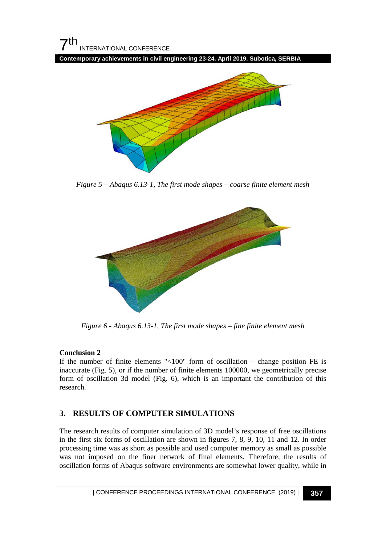

**Contemporary achievements in civil engineering 23-24. April 2019. Subotica, SERBIA**



*Figure 5 – Abaqus 6.13-1, The first mode shapes – coarse finite element mesh*



*Figure 6 - Abaqus 6.13-1, The first mode shapes – fine finite element mesh*

#### **Conclusion 2**

If the number of finite elements " $<100$ " form of oscillation – change position FE is inaccurate (Fig. 5), or if the number of finite elements 100000, we geometrically precise form of oscillation 3d model (Fig. 6), which is an important the contribution of this research.

#### **3. RESULTS OF COMPUTER SIMULATIONS**

The research results of computer simulation of 3D model's response of free oscillations in the first six forms of oscillation are shown in figures 7, 8, 9, 10, 11 and 12. In order processing time was as short as possible and used computer memory as small as possible was not imposed on the finer network of final elements. Therefore, the results of oscillation forms of Abaqus software environments are somewhat lower quality, while in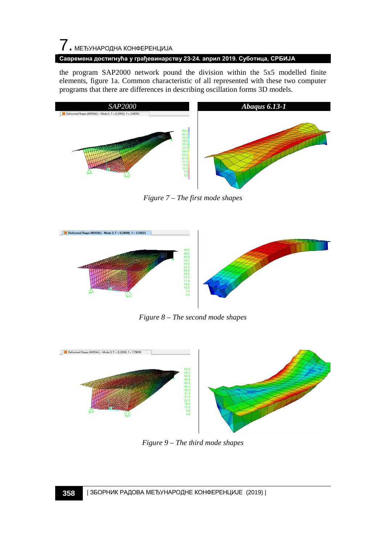# $\overline{7}$ . МЕЂУНАРОДНА КОНФЕРЕНЦИЈА

#### **Савремена достигнућа у грађевинарству 23-24. април 2019. Суботица, СРБИЈА**

the program SAP2000 network pound the division within the 5x5 modelled finite elements, figure 1a. Common characteristic of all represented with these two computer programs that there are differences in describing oscillation forms 3D models.



*Figure 7 – The first mode shapes*



*Figure 8 – The second mode shapes*



*Figure 9 – The third mode shapes*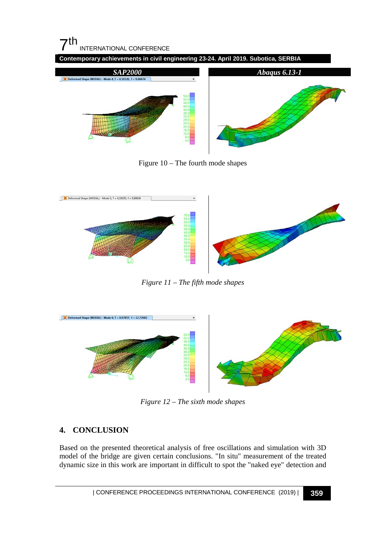

Figure 10 – The fourth mode shapes



*Figure 11 – The fifth mode shapes*



*Figure 12 – The sixth mode shapes*

### **4. CONCLUSION**

Based on the presented theoretical analysis of free oscillations and simulation with 3D model of the bridge are given certain conclusions. "In situ" measurement of the treated dynamic size in this work are important in difficult to spot the "naked eye" detection and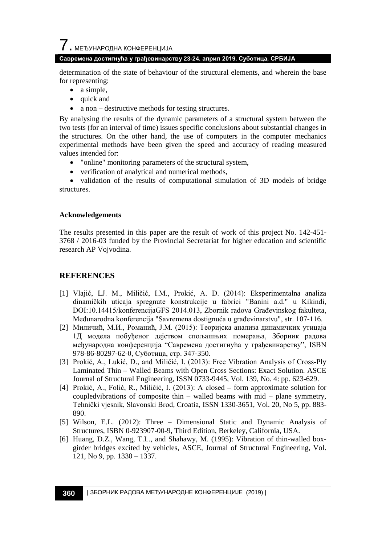#### **Савремена достигнућа у грађевинарству 23-24. април 2019. Суботица, СРБИЈА**

determination of the state of behaviour of the structural elements, and wherein the base for representing:

- a simple,
- quick and
- a non destructive methods for testing structures.

By analysing the results of the dynamic parameters of a structural system between the two tests (for an interval of time) issues specific conclusions about substantial changes in the structures. On the other hand, the use of computers in the computer mechanics experimental methods have been given the speed and accuracy of reading measured values intended for:

- "online" monitoring parameters of the structural system,
- verification of analytical and numerical methods,

• validation of the results of computational simulation of 3D models of bridge structures.

#### **Acknowledgements**

The results presented in this paper are the result of work of this project No. 142-451- 3768 / 2016-03 funded by the Provincial Secretariat for higher education and scientific research AP Vojvodina.

#### **REFERENCES**

- [1] Vlajić, LJ. M., Miličić, I.M., Prokić, A. D. (2014): Eksperimentalna analiza dinamičkih uticaja spregnute konstrukcije u fabrici "Banini a.d." u Kikindi, DOI:10.14415/konferencijaGFS 2014.013, Zbornik radova Građevinskog fakulteta, Međunarodna konferencija "Savremena dostignuća u građevinarstvu", str. 107-116.
- [2] Миличић, М.И., Романић, Ј.М. (2015): Теоријска анализа динамичких утицаја 1Д модела побуђеног дејством спољашњих померања, Зборник радова међународна конференција "Савремена достигнућа у грађевинарству", ISBN 978-86-80297-62-0, Суботица, стр. 347-350.
- [3] Prokić, A., Lukić, D., and Miličić, I. (2013): Free Vibration Analysis of Cross-Ply Laminated Thin – Walled Beams with Open Cross Sections: Exact Solution. ASCE Journal of Structural Engineering, ISSN 0733-9445, Vol. 139, No. 4: pp. 623-629.
- [4] Prokić, A., Folić, R., Miličić, I. (2013): A closed form approximate solution for coupledvibrations of composite thin – walled beams with mid – plane symmetry, Tehnički vjesnik, Slavonski Brod, Croatia, ISSN 1330-3651, Vol. 20, No 5, pp. 883- 890.
- [5] Wilson, E.L. (2012): Three Dimensional Static and Dynamic Analysis of Structures, ISBN 0-923907-00-9, Third Edition, Berkeley, California, USA.
- [6] Huang, D.Z., Wang, T.L., and Shahawy, M. (1995): Vibration of thin-walled boxgirder bridges excited by vehicles, ASCE, Journal of Structural Engineering, Vol. 121, No 9, pp. 1330 – 1337.